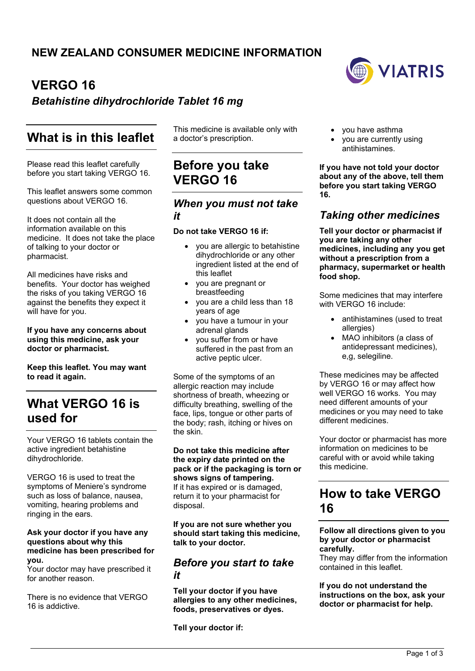# **VERGO 16**

### *Betahistine dihydrochloride Tablet 16 mg*

# **What is in this leaflet**

Please read this leaflet carefully before you start taking VERGO 16.

This leaflet answers some common questions about VERGO 16.

It does not contain all the information available on this medicine. It does not take the place of talking to your doctor or pharmacist.

All medicines have risks and benefits. Your doctor has weighed the risks of you taking VERGO 16 against the benefits they expect it will have for you.

#### **If you have any concerns about using this medicine, ask your doctor or pharmacist.**

**Keep this leaflet. You may want to read it again.**

# **What VERGO 16 is used for**

Your VERGO 16 tablets contain the active ingredient betahistine dihydrochloride.

VERGO 16 is used to treat the symptoms of Meniere's syndrome such as loss of balance, nausea, vomiting, hearing problems and ringing in the ears.

#### **Ask your doctor if you have any questions about why this medicine has been prescribed for you.**

Your doctor may have prescribed it for another reason.

There is no evidence that VERGO 16 is addictive.

This medicine is available only with a doctor's prescription.

## **Before you take VERGO 16**

### *When you must not take it*

#### **Do not take VERGO 16 if:**

- you are allergic to betahistine dihydrochloride or any other ingredient listed at the end of this leaflet
- you are pregnant or breastfeeding
- you are a child less than 18 years of age
- you have a tumour in your adrenal glands
- you suffer from or have suffered in the past from an active peptic ulcer.

Some of the symptoms of an allergic reaction may include shortness of breath, wheezing or difficulty breathing, swelling of the face, lips, tongue or other parts of the body; rash, itching or hives on the skin.

**Do not take this medicine after the expiry date printed on the pack or if the packaging is torn or shows signs of tampering.** If it has expired or is damaged, return it to your pharmacist for disposal.

**If you are not sure whether you should start taking this medicine, talk to your doctor.**

### *Before you start to take it*

**Tell your doctor if you have allergies to any other medicines, foods, preservatives or dyes.**

**Tell your doctor if:**



- you have asthma
- you are currently using antihistamines.

**If you have not told your doctor about any of the above, tell them before you start taking VERGO 16.**

### *Taking other medicines*

**Tell your doctor or pharmacist if you are taking any other medicines, including any you get without a prescription from a pharmacy, supermarket or health food shop.**

Some medicines that may interfere with VERGO 16 include:

- antihistamines (used to treat allergies)
- MAO inhibitors (a class of antidepressant medicines), e,g, selegiline.

These medicines may be affected by VERGO 16 or may affect how well VERGO 16 works. You may need different amounts of your medicines or you may need to take different medicines.

Your doctor or pharmacist has more information on medicines to be careful with or avoid while taking this medicine.

# **How to take VERGO 16**

#### **Follow all directions given to you by your doctor or pharmacist carefully.**

They may differ from the information contained in this leaflet.

#### **If you do not understand the instructions on the box, ask your doctor or pharmacist for help.**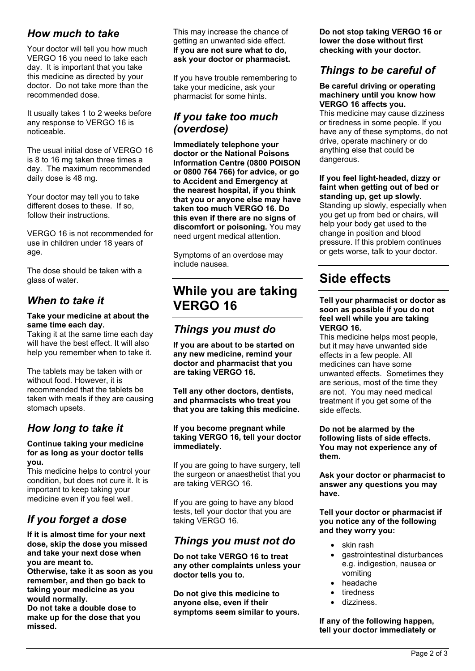### *How much to take*

Your doctor will tell you how much VERGO 16 you need to take each day. It is important that you take this medicine as directed by your doctor. Do not take more than the recommended dose.

It usually takes 1 to 2 weeks before any response to VERGO 16 is noticeable.

The usual initial dose of VERGO 16 is 8 to 16 mg taken three times a day. The maximum recommended daily dose is 48 mg.

Your doctor may tell you to take different doses to these. If so, follow their instructions.

VERGO 16 is not recommended for use in children under 18 years of age.

The dose should be taken with a glass of water.

### *When to take it*

#### **Take your medicine at about the same time each day.**

Taking it at the same time each day will have the best effect. It will also help you remember when to take it.

The tablets may be taken with or without food. However, it is recommended that the tablets be taken with meals if they are causing stomach upsets.

### *How long to take it*

#### **Continue taking your medicine for as long as your doctor tells you.**

This medicine helps to control your condition, but does not cure it. It is important to keep taking your medicine even if you feel well.

## *If you forget a dose*

**If it is almost time for your next dose, skip the dose you missed and take your next dose when you are meant to.**

**Otherwise, take it as soon as you remember, and then go back to taking your medicine as you would normally. Do not take a double dose to** 

**make up for the dose that you missed.**

This may increase the chance of getting an unwanted side effect. **If you are not sure what to do, ask your doctor or pharmacist.**

If you have trouble remembering to take your medicine, ask your pharmacist for some hints.

### *If you take too much (overdose)*

**Immediately telephone your doctor or the National Poisons Information Centre (0800 POISON or 0800 764 766) for advice, or go to Accident and Emergency at the nearest hospital, if you think that you or anyone else may have taken too much VERGO 16. Do this even if there are no signs of discomfort or poisoning.** You may need urgent medical attention.

Symptoms of an overdose may include nausea.

## **While you are taking VERGO 16**

### *Things you must do*

**If you are about to be started on any new medicine, remind your doctor and pharmacist that you are taking VERGO 16.**

**Tell any other doctors, dentists, and pharmacists who treat you that you are taking this medicine.**

#### **If you become pregnant while taking VERGO 16, tell your doctor immediately.**

If you are going to have surgery, tell the surgeon or anaesthetist that you are taking VERGO 16.

If you are going to have any blood tests, tell your doctor that you are taking VERGO 16.

### *Things you must not do*

**Do not take VERGO 16 to treat any other complaints unless your doctor tells you to.**

**Do not give this medicine to anyone else, even if their symptoms seem similar to yours.** **Do not stop taking VERGO 16 or lower the dose without first checking with your doctor.**

### *Things to be careful of*

#### **Be careful driving or operating machinery until you know how VERGO 16 affects you.**

This medicine may cause dizziness or tiredness in some people. If you have any of these symptoms, do not drive, operate machinery or do anything else that could be dangerous.

### **If you feel light-headed, dizzy or faint when getting out of bed or standing up, get up slowly.**

Standing up slowly, especially when you get up from bed or chairs, will help your body get used to the change in position and blood pressure. If this problem continues or gets worse, talk to your doctor.

# **Side effects**

#### **Tell your pharmacist or doctor as soon as possible if you do not feel well while you are taking VERGO 16.**

This medicine helps most people, but it may have unwanted side effects in a few people. All medicines can have some unwanted effects. Sometimes they are serious, most of the time they are not. You may need medical treatment if you get some of the side effects.

**Do not be alarmed by the following lists of side effects. You may not experience any of them.**

**Ask your doctor or pharmacist to answer any questions you may have.**

#### **Tell your doctor or pharmacist if you notice any of the following and they worry you:**

- skin rash
- gastrointestinal disturbances e.g. indigestion, nausea or vomiting
- headache
- tiredness
- dizziness.

#### **If any of the following happen, tell your doctor immediately or**